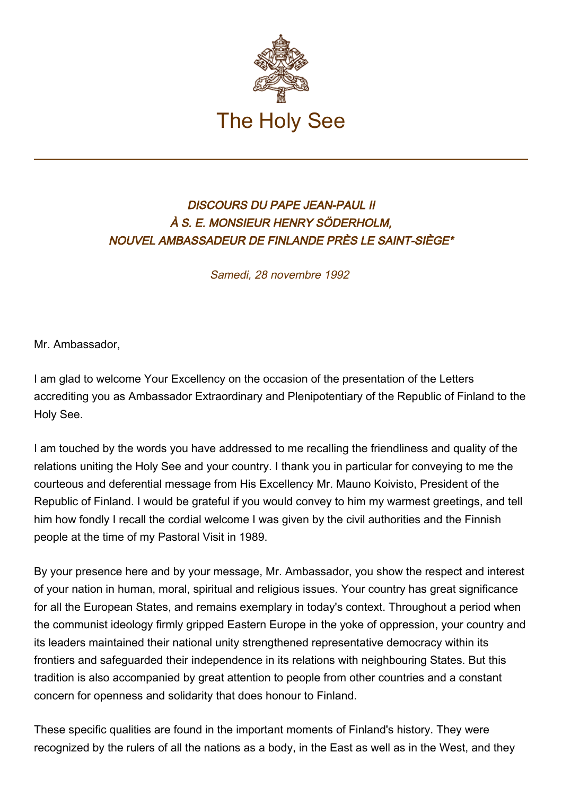

## DISCOURS DU PAPE JEAN-PAUL II À S. E. MONSIEUR HENRY SÖDERHOLM, NOUVEL AMBASSADEUR DE FINLANDE PRÈS LE SAINT-SIÈGE\*

Samedi, 28 novembre 1992

Mr. Ambassador,

I am glad to welcome Your Excellency on the occasion of the presentation of the Letters accrediting you as Ambassador Extraordinary and Plenipotentiary of the Republic of Finland to the Holy See.

I am touched by the words you have addressed to me recalling the friendliness and quality of the relations uniting the Holy See and your country. I thank you in particular for conveying to me the courteous and deferential message from His Excellency Mr. Mauno Koivisto, President of the Republic of Finland. I would be grateful if you would convey to him my warmest greetings, and tell him how fondly I recall the cordial welcome I was given by the civil authorities and the Finnish people at the time of my Pastoral Visit in 1989.

By your presence here and by your message, Mr. Ambassador, you show the respect and interest of your nation in human, moral, spiritual and religious issues. Your country has great significance for all the European States, and remains exemplary in today's context. Throughout a period when the communist ideology firmly gripped Eastern Europe in the yoke of oppression, your country and its leaders maintained their national unity strengthened representative democracy within its frontiers and safeguarded their independence in its relations with neighbouring States. But this tradition is also accompanied by great attention to people from other countries and a constant concern for openness and solidarity that does honour to Finland.

These specific qualities are found in the important moments of Finland's history. They were recognized by the rulers of all the nations as a body, in the East as well as in the West, and they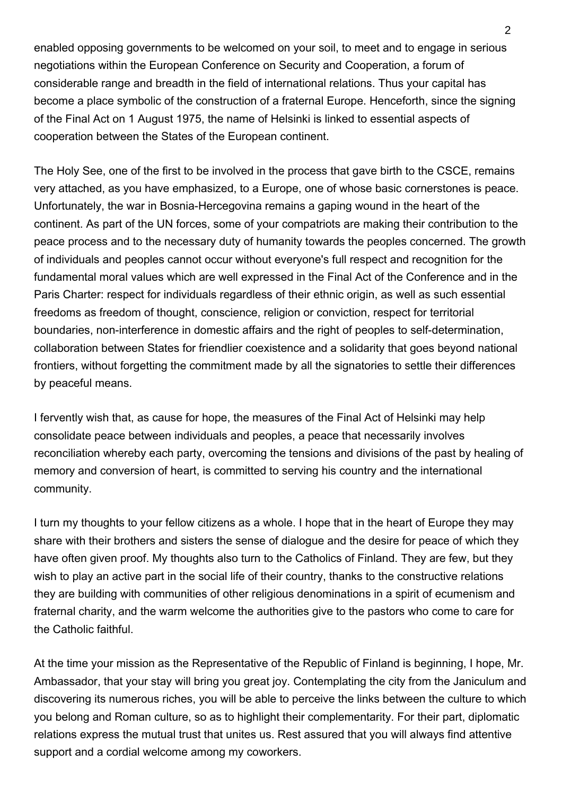enabled opposing governments to be welcomed on your soil, to meet and to engage in serious negotiations within the European Conference on Security and Cooperation, a forum of considerable range and breadth in the field of international relations. Thus your capital has become a place symbolic of the construction of a fraternal Europe. Henceforth, since the signing of the Final Act on 1 August 1975, the name of Helsinki is linked to essential aspects of cooperation between the States of the European continent.

The Holy See, one of the first to be involved in the process that gave birth to the CSCE, remains very attached, as you have emphasized, to a Europe, one of whose basic cornerstones is peace. Unfortunately, the war in Bosnia-Hercegovina remains a gaping wound in the heart of the continent. As part of the UN forces, some of your compatriots are making their contribution to the peace process and to the necessary duty of humanity towards the peoples concerned. The growth of individuals and peoples cannot occur without everyone's full respect and recognition for the fundamental moral values which are well expressed in the Final Act of the Conference and in the Paris Charter: respect for individuals regardless of their ethnic origin, as well as such essential freedoms as freedom of thought, conscience, religion or conviction, respect for territorial boundaries, non-interference in domestic affairs and the right of peoples to self-determination, collaboration between States for friendlier coexistence and a solidarity that goes beyond national frontiers, without forgetting the commitment made by all the signatories to settle their differences by peaceful means.

I fervently wish that, as cause for hope, the measures of the Final Act of Helsinki may help consolidate peace between individuals and peoples, a peace that necessarily involves reconciliation whereby each party, overcoming the tensions and divisions of the past by healing of memory and conversion of heart, is committed to serving his country and the international community.

I turn my thoughts to your fellow citizens as a whole. I hope that in the heart of Europe they may share with their brothers and sisters the sense of dialogue and the desire for peace of which they have often given proof. My thoughts also turn to the Catholics of Finland. They are few, but they wish to play an active part in the social life of their country, thanks to the constructive relations they are building with communities of other religious denominations in a spirit of ecumenism and fraternal charity, and the warm welcome the authorities give to the pastors who come to care for the Catholic faithful.

At the time your mission as the Representative of the Republic of Finland is beginning, I hope, Mr. Ambassador, that your stay will bring you great joy. Contemplating the city from the Janiculum and discovering its numerous riches, you will be able to perceive the links between the culture to which you belong and Roman culture, so as to highlight their complementarity. For their part, diplomatic relations express the mutual trust that unites us. Rest assured that you will always find attentive support and a cordial welcome among my coworkers.